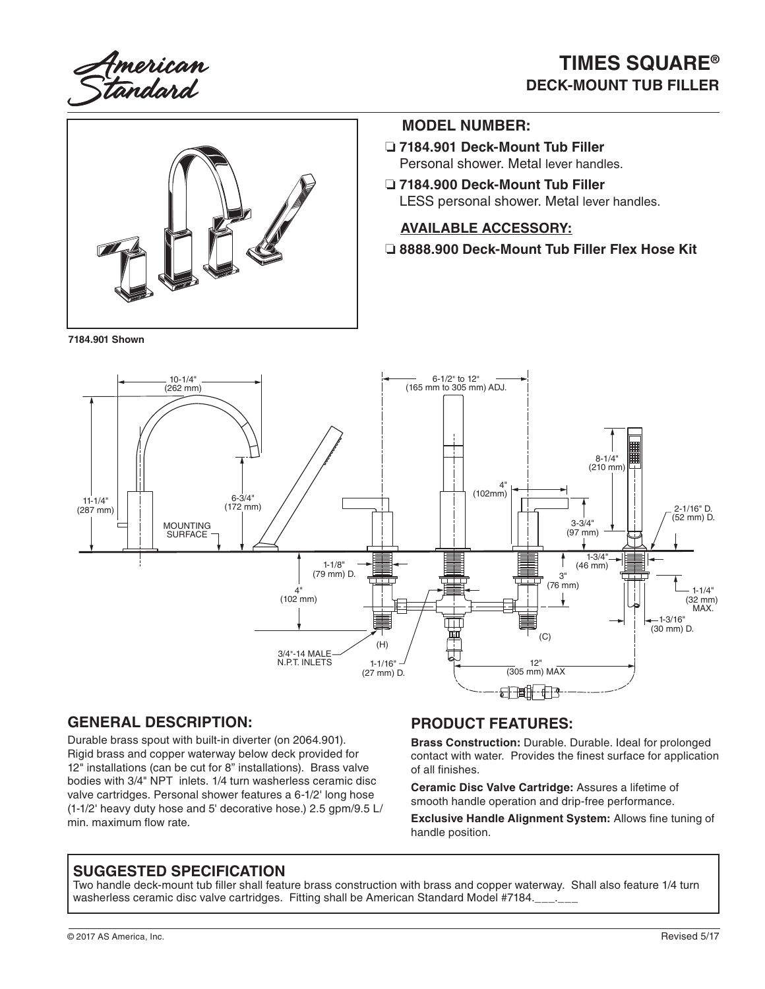American<br>Standard

# **TIMES SQUARE® DECK-MOUNT TUB FILLER**



**7184.901 Shown**

#### **MODEL NUMBER:**

- ❏ **7184.901 Deck-Mount Tub Filler** Personal shower. Metal lever handles.
- ❏ **7184.900 Deck-Mount Tub Filler** LESS personal shower. Metal lever handles.

#### **AVAILABLE ACCESSORY:**

❏ **8888.900 Deck-Mount Tub Filler Flex Hose Kit**



### **GENERAL DESCRIPTION:**

Durable brass spout with built-in diverter (on 2064.901). Rigid brass and copper waterway below deck provided for 12" installations (can be cut for 8" installations). Brass valve bodies with 3/4" NPT inlets. 1/4 turn washerless ceramic disc valve cartridges. Personal shower features a 6-1/2' long hose (1-1/2' heavy duty hose and 5' decorative hose.) 2.5 gpm/9.5 L/ min. maximum flow rate.

#### **PRODUCT FEATURES:**

**Brass Construction:** Durable. Durable. Ideal for prolonged contact with water. Provides the finest surface for application of all finishes.

**Ceramic Disc Valve Cartridge:** Assures a lifetime of smooth handle operation and drip-free performance.

**Exclusive Handle Alignment System:** Allows fine tuning of handle position.

#### **SUGGESTED SPECIFICATION**

Two handle deck-mount tub filler shall feature brass construction with brass and copper waterway. Shall also feature 1/4 turn washerless ceramic disc valve cartridges. Fitting shall be American Standard Model #7184.